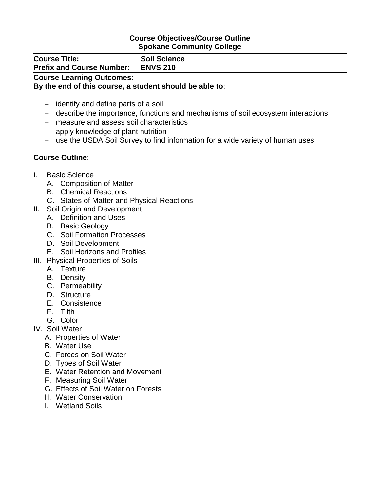## **Course Objectives/Course Outline Spokane Community College**

| <b>Course Title:</b>             | <b>Soil Science</b> |  |
|----------------------------------|---------------------|--|
| <b>Prefix and Course Number:</b> | <b>ENVS 210</b>     |  |
| <b>Course Learning Outcomes:</b> |                     |  |

## **By the end of this course, a student should be able to**:

- $-$  identify and define parts of a soil
- describe the importance, functions and mechanisms of soil ecosystem interactions
- measure and assess soil characteristics
- apply knowledge of plant nutrition
- use the USDA Soil Survey to find information for a wide variety of human uses

## **Course Outline**:

- I. Basic Science
	- A. Composition of Matter
	- B. Chemical Reactions
	- C. States of Matter and Physical Reactions
- II. Soil Origin and Development
	- A. Definition and Uses
	- B. Basic Geology
	- C. Soil Formation Processes
	- D. Soil Development
	- E. Soil Horizons and Profiles
- III. Physical Properties of Soils
	- A. Texture
	- B. Density
	- C. Permeability
	- D. Structure
	- E. Consistence
	- F. Tilth
	- G. Color
- IV. Soil Water
	- A. Properties of Water
	- B. Water Use
	- C. Forces on Soil Water
	- D. Types of Soil Water
	- E. Water Retention and Movement
	- F. Measuring Soil Water
	- G. Effects of Soil Water on Forests
	- H. Water Conservation
	- I. Wetland Soils